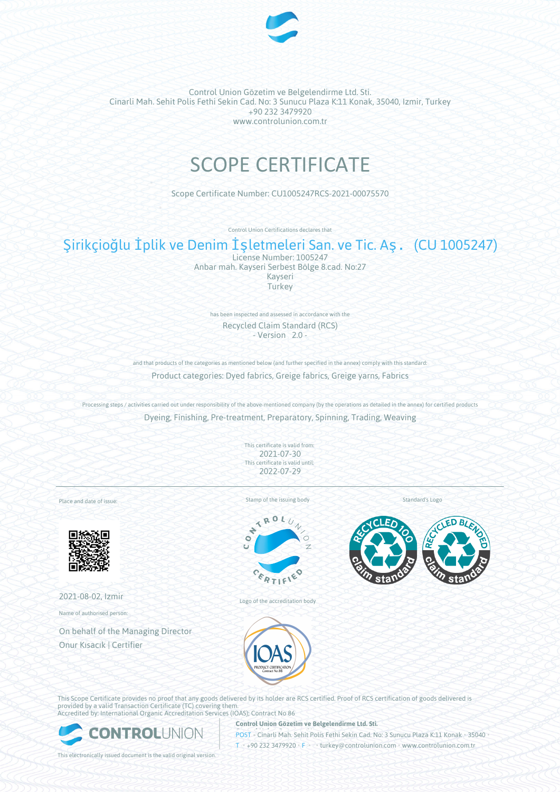

# SCOPE CERTIFICATE

Scope Certificate Number: CU1005247RCS-2021-00075570

Control Union Certifications declares that

# Şirikçioğlu İplik ve Denim İşletmeleri San. ve Tic. Aş. (CU 1005247)

License Number: 1005247 Anbar mah. Kayseri Serbest Bölge 8.cad. No:27 Kayseri **Turkey** 

has been inspected and assessed in accordance with the Recycled Claim Standard (RCS) - Version 2.0 -

and that products of the categories as mentioned below (and further specified in the annex) comply with this standard: Product categories: Dyed fabrics, Greige fabrics, Greige yarns, Fabrics

Processing steps / activities carried out under responsibility of the above-mentioned company (by the operations as detailed in the annex) for certified products Dyeing, Finishing, Pre-treatment, Preparatory, Spinning, Trading, Weaving

> This certificate is valid from: 2021-07-30 This certificate is valid until: 2022-07-29

Place and date of issue:



2021-08-02, Izmir

Name of authorised person:

On behalf of the Managing Director Onur Kısacık | Certifier

Stamp of the issuing body



Logo of the accreditation body

Standard's Logo





This Scope Certificate provides no proof that any goods delivered by its holder are RCS certified. Proof of RCS certification of goods delivered is provided by a valid Transaction Certificate (TC) covering them. Accredited by: International Organic Accreditation Services (IOAS); Contract No 86



**Control Union Gözetim ve Belgelendirme Ltd. Sti.**

**POST • Cinarli Mah. Sehit Polis Fethi Sekin Cad. No: 3 Sunucu Plaza K:11 Konak • 35040** T • +90 232 3479920 • F • • turkey@controlunion.com • www.controlunion.com.tr

This electronically issued document is the valid original version.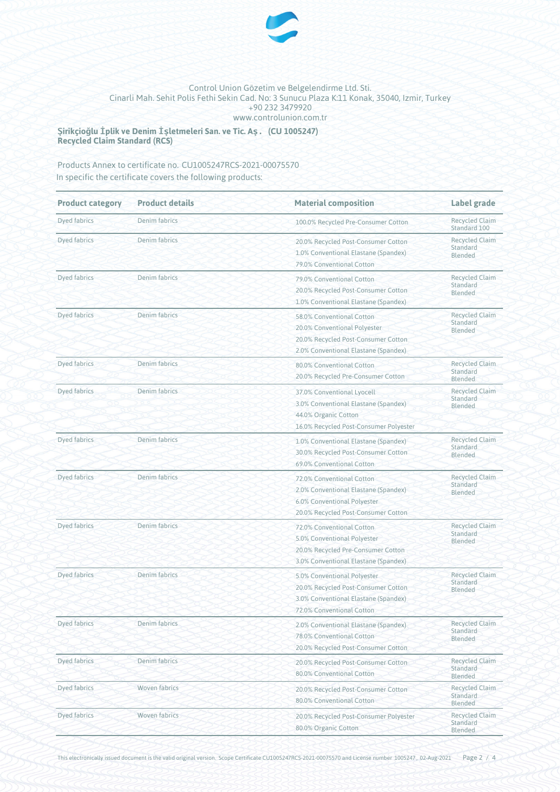

**Şirikçioğlu İplik ve Denim İşletmeleri San. ve Tic. Aş. (CU 1005247) Recycled Claim Standard (RCS)**

Products Annex to certificate no. CU1005247RCS-2021-00075570 In specific the certificate covers the following products:

| <b>Product category</b> | <b>Product details</b><br><b>Material composition</b> |                                                                                                                                          | <b>Label grade</b>                                  |  |
|-------------------------|-------------------------------------------------------|------------------------------------------------------------------------------------------------------------------------------------------|-----------------------------------------------------|--|
| Dyed fabrics            | Denim fabrics                                         | 100.0% Recycled Pre-Consumer Cotton                                                                                                      | <b>Recycled Claim</b><br>Standard 100               |  |
| Dyed fabrics            | Denim fabrics                                         | 20.0% Recycled Post-Consumer Cotton<br>1.0% Conventional Elastane (Spandex)<br>79.0% Conventional Cotton                                 | <b>Recycled Claim</b><br>Standard<br>Blended        |  |
| Dyed fabrics            | Denim fabrics                                         | 79.0% Conventional Cotton<br>20.0% Recycled Post-Consumer Cotton<br>1.0% Conventional Elastane (Spandex)                                 | <b>Recycled Claim</b><br>Standard<br>Blended        |  |
| Dyed fabrics            | Denim fabrics                                         | 58.0% Conventional Cotton<br>20.0% Conventional Polyester<br>20.0% Recycled Post-Consumer Cotton<br>2.0% Conventional Elastane (Spandex) | <b>Recycled Claim</b><br>Standard<br>Blended        |  |
| Dyed fabrics            | Denim fabrics                                         | 80.0% Conventional Cotton<br>20.0% Recycled Pre-Consumer Cotton                                                                          | <b>Recycled Claim</b><br>Standard<br>Blended        |  |
| Dyed fabrics            | Denim fabrics                                         | 37.0% Conventional Lyocell<br>3.0% Conventional Elastane (Spandex)<br>44.0% Organic Cotton<br>16.0% Recycled Post-Consumer Polyester     | <b>Recycled Claim</b><br>Standard<br>Blended        |  |
| Dyed fabrics            | Denim fabrics                                         | 1.0% Conventional Elastane (Spandex)<br>30.0% Recycled Post-Consumer Cotton<br>69.0% Conventional Cotton                                 | <b>Recycled Claim</b><br>Standard<br>Blended        |  |
| Dyed fabrics            | Denim fabrics                                         | 72.0% Conventional Cotton<br>2.0% Conventional Elastane (Spandex)<br>6.0% Conventional Polyester<br>20.0% Recycled Post-Consumer Cotton  | <b>Recycled Claim</b><br>Standard<br>Blended        |  |
| Dyed fabrics            | Denim fabrics                                         | 72.0% Conventional Cotton<br>5.0% Conventional Polyester<br>20.0% Recycled Pre-Consumer Cotton<br>3.0% Conventional Elastane (Spandex)   | <b>Recycled Claim</b><br>Standard<br>Blended        |  |
| <b>Dyed fabrics</b>     | Denim fabrics                                         | 5.0% Conventional Polyester<br>20.0% Recycled Post-Consumer Cotton<br>3.0% Conventional Elastane (Spandex)<br>72.0% Conventional Cotton  | <b>Recycled Claim</b><br>Standard<br>Blended        |  |
| Dyed fabrics            | Denim fabrics                                         | 2.0% Conventional Elastane (Spandex)<br>78.0% Conventional Cotton<br>20.0% Recycled Post-Consumer Cotton                                 | <b>Recycled Claim</b><br>Standard<br>Blended        |  |
| Dyed fabrics            | Denim fabrics                                         | 20.0% Recycled Post-Consumer Cotton<br>80.0% Conventional Cotton                                                                         | <b>Recycled Claim</b><br>Standard<br><b>Blended</b> |  |
| Dyed fabrics            | Woven fabrics                                         | 20.0% Recycled Post-Consumer Cotton<br>80.0% Conventional Cotton                                                                         | <b>Recycled Claim</b><br>Standard<br>Blended        |  |
| Dyed fabrics            | Woven fabrics                                         | 20.0% Recycled Post-Consumer Polyester<br>80.0% Organic Cotton                                                                           | <b>Recycled Claim</b><br>Standard<br>Blended        |  |

This electronically issued document is the valid original version. Scope Certificate CU1005247RCS-2021-00075570 and License number 1005247, 02-Aug-2021 Page 2 / 4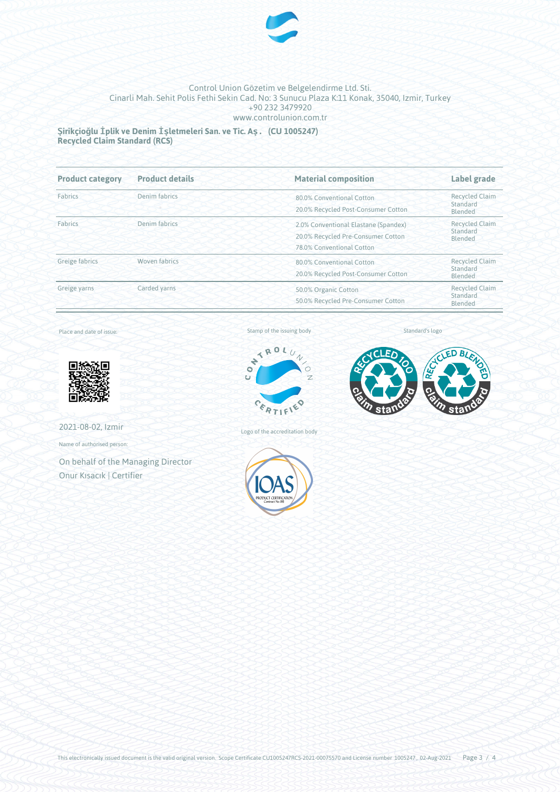

**Şirikçioğlu İplik ve Denim İşletmeleri San. ve Tic. Aş. (CU 1005247) Recycled Claim Standard (RCS)**

| <b>Product category</b>  | <b>Product details</b><br><b>Material composition</b> |                                                                                                         | Label grade<br><b>Recycled Claim</b><br>Standard<br>Blended |  |
|--------------------------|-------------------------------------------------------|---------------------------------------------------------------------------------------------------------|-------------------------------------------------------------|--|
| Denim fabrics<br>Fabrics |                                                       | 80.0% Conventional Cotton<br>20.0% Recycled Post-Consumer Cotton                                        |                                                             |  |
| Fabrics                  | Denim fabrics                                         | 2.0% Conventional Elastane (Spandex)<br>20.0% Recycled Pre-Consumer Cotton<br>78.0% Conventional Cotton | <b>Recycled Claim</b><br>Standard<br>Blended                |  |
| Greige fabrics           | <b>Woven fabrics</b>                                  | 80.0% Conventional Cotton<br>20.0% Recycled Post-Consumer Cotton                                        | <b>Recycled Claim</b><br>Standard<br>Blended                |  |
| Greige yarns             | Carded yarns                                          | 50.0% Organic Cotton<br>50.0% Recycled Pre-Consumer Cotton                                              | <b>Recycled Claim</b><br>Standard<br>Blended                |  |

Place and date of issue:



2021-08-02, Izmir

Name of authorised person:

On behalf of the Managing Director Onur Kısacık | Certifier

## Stamp of the issuing body



Logo of the accreditation body



Standard's logo



This electronically issued document is the valid original version. Scope Certificate CU1005247RCS-2021-00075570 and License number 1005247, 02-Aug-2021 Page  $3/4$